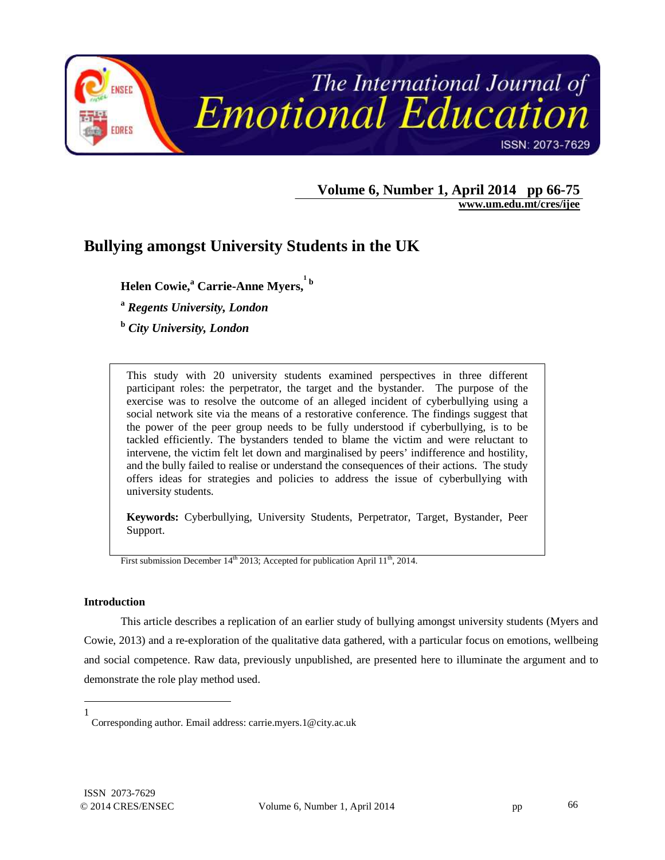

**Volume 6, Number 1, April 2014 pp 66-75** 

 **www.um.edu.mt/cres/ijee** 

# **Bullying amongst University Students in the UK**

**Helen Cowie,<sup>a</sup> Carrie-Anne Myers, 1 b** 

**a**  *Regents University, London* 

**b**  *City University, London*

This study with 20 university students examined perspectives in three different participant roles: the perpetrator, the target and the bystander. The purpose of the exercise was to resolve the outcome of an alleged incident of cyberbullying using a social network site via the means of a restorative conference. The findings suggest that the power of the peer group needs to be fully understood if cyberbullying, is to be tackled efficiently. The bystanders tended to blame the victim and were reluctant to intervene, the victim felt let down and marginalised by peers' indifference and hostility, and the bully failed to realise or understand the consequences of their actions. The study offers ideas for strategies and policies to address the issue of cyberbullying with university students.

**Keywords:** Cyberbullying, University Students, Perpetrator, Target, Bystander, Peer Support.

First submission December 14<sup>th</sup> 2013; Accepted for publication April 11<sup>th</sup>, 2014.

## **Introduction**

This article describes a replication of an earlier study of bullying amongst university students (Myers and Cowie, 2013) and a re-exploration of the qualitative data gathered, with a particular focus on emotions, wellbeing and social competence. Raw data, previously unpublished, are presented here to illuminate the argument and to demonstrate the role play method used.

 $\overline{a}$ 1

Corresponding author. Email address: carrie.myers.1@city.ac.uk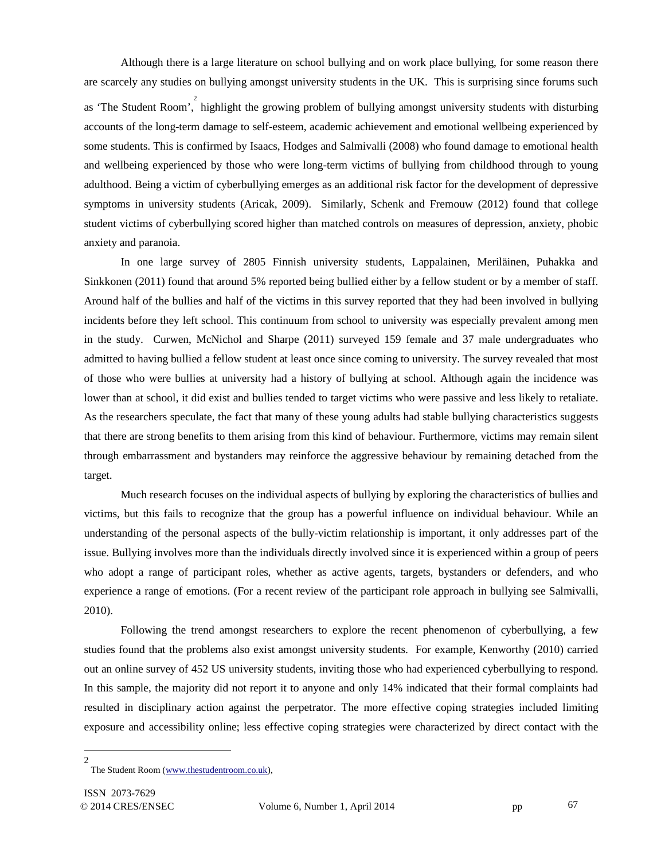Although there is a large literature on school bullying and on work place bullying, for some reason there are scarcely any studies on bullying amongst university students in the UK. This is surprising since forums such as 'The Student Room', highlight the growing problem of bullying amongst university students with disturbing accounts of the long-term damage to self-esteem, academic achievement and emotional wellbeing experienced by some students. This is confirmed by Isaacs, Hodges and Salmivalli (2008) who found damage to emotional health and wellbeing experienced by those who were long-term victims of bullying from childhood through to young adulthood. Being a victim of cyberbullying emerges as an additional risk factor for the development of depressive symptoms in university students (Aricak, 2009). Similarly, Schenk and Fremouw (2012) found that college student victims of cyberbullying scored higher than matched controls on measures of depression, anxiety, phobic anxiety and paranoia.

In one large survey of 2805 Finnish university students, Lappalainen, Meriläinen, Puhakka and Sinkkonen (2011) found that around 5% reported being bullied either by a fellow student or by a member of staff. Around half of the bullies and half of the victims in this survey reported that they had been involved in bullying incidents before they left school. This continuum from school to university was especially prevalent among men in the study. Curwen, McNichol and Sharpe (2011) surveyed 159 female and 37 male undergraduates who admitted to having bullied a fellow student at least once since coming to university. The survey revealed that most of those who were bullies at university had a history of bullying at school. Although again the incidence was lower than at school, it did exist and bullies tended to target victims who were passive and less likely to retaliate. As the researchers speculate, the fact that many of these young adults had stable bullying characteristics suggests that there are strong benefits to them arising from this kind of behaviour. Furthermore, victims may remain silent through embarrassment and bystanders may reinforce the aggressive behaviour by remaining detached from the target.

Much research focuses on the individual aspects of bullying by exploring the characteristics of bullies and victims, but this fails to recognize that the group has a powerful influence on individual behaviour. While an understanding of the personal aspects of the bully-victim relationship is important, it only addresses part of the issue. Bullying involves more than the individuals directly involved since it is experienced within a group of peers who adopt a range of participant roles, whether as active agents, targets, bystanders or defenders, and who experience a range of emotions. (For a recent review of the participant role approach in bullying see Salmivalli, 2010).

Following the trend amongst researchers to explore the recent phenomenon of cyberbullying, a few studies found that the problems also exist amongst university students. For example, Kenworthy (2010) carried out an online survey of 452 US university students, inviting those who had experienced cyberbullying to respond. In this sample, the majority did not report it to anyone and only 14% indicated that their formal complaints had resulted in disciplinary action against the perpetrator. The more effective coping strategies included limiting exposure and accessibility online; less effective coping strategies were characterized by direct contact with the

l  $\mathfrak{D}$ 

The Student Room (www.thestudentroom.co.uk),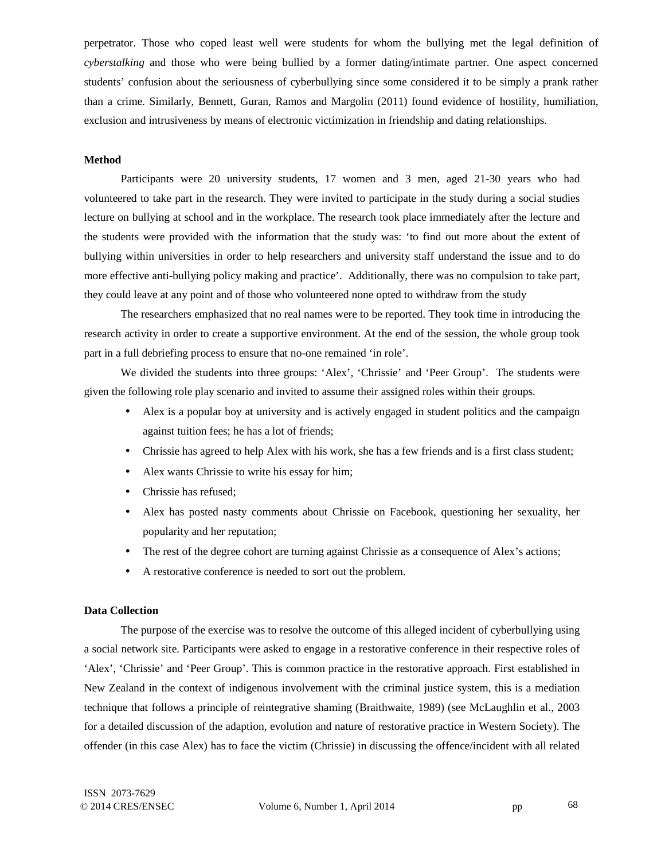perpetrator. Those who coped least well were students for whom the bullying met the legal definition of *cyberstalking* and those who were being bullied by a former dating/intimate partner. One aspect concerned students' confusion about the seriousness of cyberbullying since some considered it to be simply a prank rather than a crime. Similarly, Bennett, Guran, Ramos and Margolin (2011) found evidence of hostility, humiliation, exclusion and intrusiveness by means of electronic victimization in friendship and dating relationships.

## **Method**

Participants were 20 university students, 17 women and 3 men, aged 21-30 years who had volunteered to take part in the research. They were invited to participate in the study during a social studies lecture on bullying at school and in the workplace. The research took place immediately after the lecture and the students were provided with the information that the study was: 'to find out more about the extent of bullying within universities in order to help researchers and university staff understand the issue and to do more effective anti-bullying policy making and practice'. Additionally, there was no compulsion to take part, they could leave at any point and of those who volunteered none opted to withdraw from the study

The researchers emphasized that no real names were to be reported. They took time in introducing the research activity in order to create a supportive environment. At the end of the session, the whole group took part in a full debriefing process to ensure that no-one remained 'in role'.

We divided the students into three groups: 'Alex', 'Chrissie' and 'Peer Group'. The students were given the following role play scenario and invited to assume their assigned roles within their groups.

- Alex is a popular boy at university and is actively engaged in student politics and the campaign against tuition fees; he has a lot of friends;
- Chrissie has agreed to help Alex with his work, she has a few friends and is a first class student;
- Alex wants Chrissie to write his essay for him;
- Chrissie has refused;
- Alex has posted nasty comments about Chrissie on Facebook, questioning her sexuality, her popularity and her reputation;
- The rest of the degree cohort are turning against Chrissie as a consequence of Alex's actions;
- A restorative conference is needed to sort out the problem.

#### **Data Collection**

The purpose of the exercise was to resolve the outcome of this alleged incident of cyberbullying using a social network site. Participants were asked to engage in a restorative conference in their respective roles of 'Alex', 'Chrissie' and 'Peer Group'. This is common practice in the restorative approach. First established in New Zealand in the context of indigenous involvement with the criminal justice system, this is a mediation technique that follows a principle of reintegrative shaming (Braithwaite, 1989) (see McLaughlin et al., 2003 for a detailed discussion of the adaption, evolution and nature of restorative practice in Western Society). The offender (in this case Alex) has to face the victim (Chrissie) in discussing the offence/incident with all related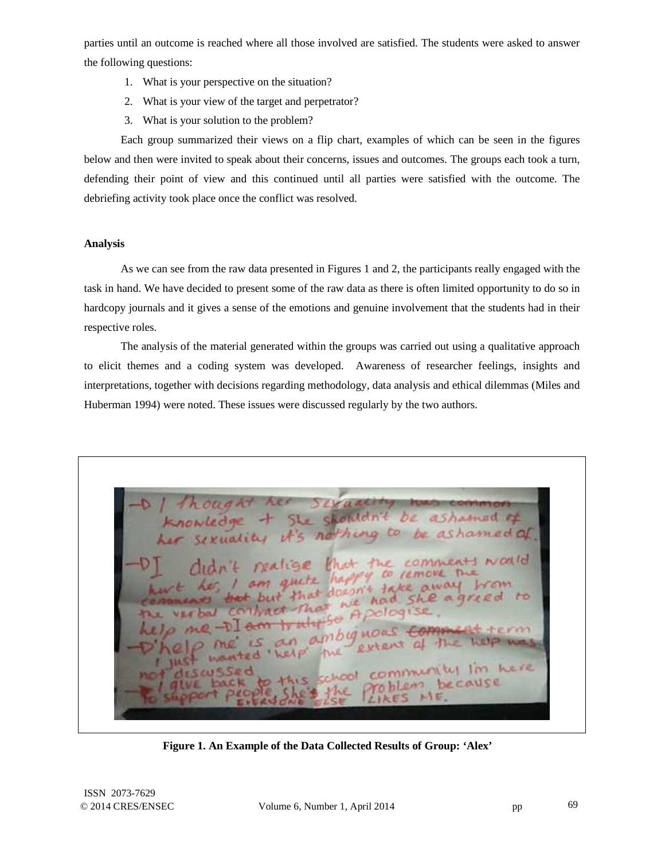parties until an outcome is reached where all those involved are satisfied. The students were asked to answer the following questions:

- 1. What is your perspective on the situation?
- 2. What is your view of the target and perpetrator?
- 3. What is your solution to the problem?

Each group summarized their views on a flip chart, examples of which can be seen in the figures below and then were invited to speak about their concerns, issues and outcomes. The groups each took a turn, defending their point of view and this continued until all parties were satisfied with the outcome. The debriefing activity took place once the conflict was resolved.

# **Analysis**

As we can see from the raw data presented in Figures 1 and 2, the participants really engaged with the task in hand. We have decided to present some of the raw data as there is often limited opportunity to do so in hardcopy journals and it gives a sense of the emotions and genuine involvement that the students had in their respective roles.

The analysis of the material generated within the groups was carried out using a qualitative approach to elicit themes and a coding system was developed. Awareness of researcher feelings, insights and interpretations, together with decisions regarding methodology, data analysis and ethical dilemmas (Miles and Huberman 1994) were noted. These issues were discussed regularly by the two authors.

SL. shouldn ashamad of DE 's nothing to be ashamed of NOVE uite ! that doesn't take had she agriced se Ai ambiguoa Im kere  $\mathcal{F}$ CAUSE

**Figure 1. An Example of the Data Collected Results of Group: 'Alex'**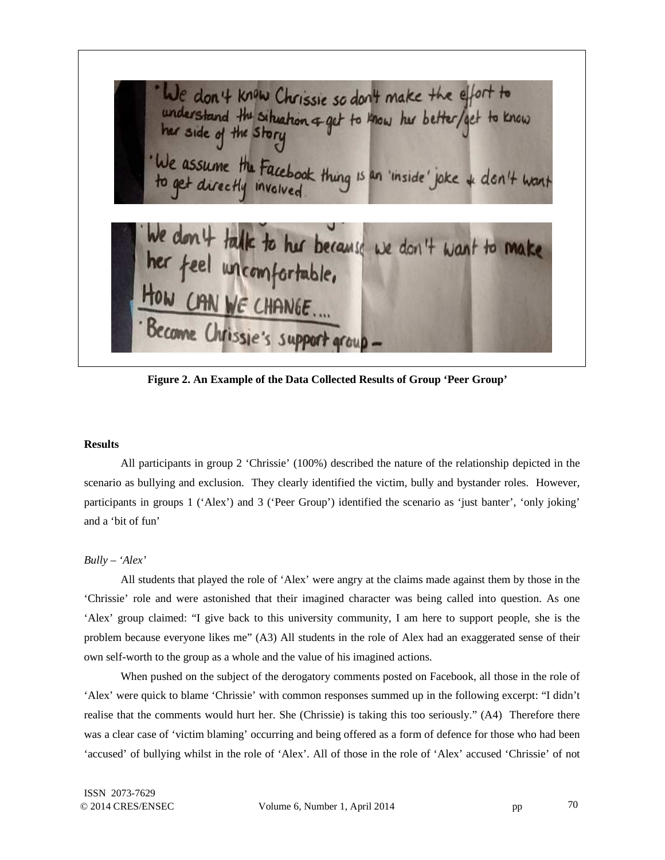We don't know Chrissie so don't make the effort to understand the situation of get to know her better/get to know We assume the Facebook thing is an 'inside' joke + don't want don't talk to her because we don't want to make her feel uncomfortable, CAN WE CHANGE.... Become Chrissie's support group

**Figure 2. An Example of the Data Collected Results of Group 'Peer Group'** 

## **Results**

All participants in group 2 'Chrissie' (100%) described the nature of the relationship depicted in the scenario as bullying and exclusion. They clearly identified the victim, bully and bystander roles. However, participants in groups 1 ('Alex') and 3 ('Peer Group') identified the scenario as 'just banter', 'only joking' and a 'bit of fun'

*Bully – 'Alex'* 

All students that played the role of 'Alex' were angry at the claims made against them by those in the 'Chrissie' role and were astonished that their imagined character was being called into question. As one 'Alex' group claimed: "I give back to this university community, I am here to support people, she is the problem because everyone likes me" (A3) All students in the role of Alex had an exaggerated sense of their own self-worth to the group as a whole and the value of his imagined actions.

When pushed on the subject of the derogatory comments posted on Facebook, all those in the role of 'Alex' were quick to blame 'Chrissie' with common responses summed up in the following excerpt: "I didn't realise that the comments would hurt her. She (Chrissie) is taking this too seriously." (A4) Therefore there was a clear case of 'victim blaming' occurring and being offered as a form of defence for those who had been 'accused' of bullying whilst in the role of 'Alex'. All of those in the role of 'Alex' accused 'Chrissie' of not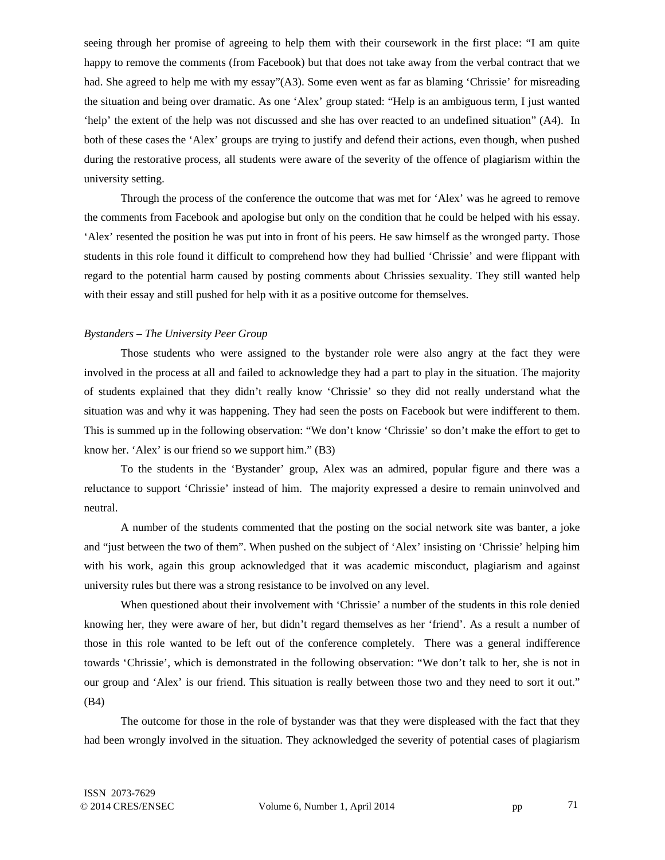seeing through her promise of agreeing to help them with their coursework in the first place: "I am quite happy to remove the comments (from Facebook) but that does not take away from the verbal contract that we had. She agreed to help me with my essay"(A3). Some even went as far as blaming 'Chrissie' for misreading the situation and being over dramatic. As one 'Alex' group stated: "Help is an ambiguous term, I just wanted 'help' the extent of the help was not discussed and she has over reacted to an undefined situation" (A4). In both of these cases the 'Alex' groups are trying to justify and defend their actions, even though, when pushed during the restorative process, all students were aware of the severity of the offence of plagiarism within the university setting.

Through the process of the conference the outcome that was met for 'Alex' was he agreed to remove the comments from Facebook and apologise but only on the condition that he could be helped with his essay. 'Alex' resented the position he was put into in front of his peers. He saw himself as the wronged party. Those students in this role found it difficult to comprehend how they had bullied 'Chrissie' and were flippant with regard to the potential harm caused by posting comments about Chrissies sexuality. They still wanted help with their essay and still pushed for help with it as a positive outcome for themselves.

## *Bystanders – The University Peer Group*

Those students who were assigned to the bystander role were also angry at the fact they were involved in the process at all and failed to acknowledge they had a part to play in the situation. The majority of students explained that they didn't really know 'Chrissie' so they did not really understand what the situation was and why it was happening. They had seen the posts on Facebook but were indifferent to them. This is summed up in the following observation: "We don't know 'Chrissie' so don't make the effort to get to know her. 'Alex' is our friend so we support him." (B3)

To the students in the 'Bystander' group, Alex was an admired, popular figure and there was a reluctance to support 'Chrissie' instead of him. The majority expressed a desire to remain uninvolved and neutral.

A number of the students commented that the posting on the social network site was banter, a joke and "just between the two of them". When pushed on the subject of 'Alex' insisting on 'Chrissie' helping him with his work, again this group acknowledged that it was academic misconduct, plagiarism and against university rules but there was a strong resistance to be involved on any level.

When questioned about their involvement with 'Chrissie' a number of the students in this role denied knowing her, they were aware of her, but didn't regard themselves as her 'friend'. As a result a number of those in this role wanted to be left out of the conference completely. There was a general indifference towards 'Chrissie', which is demonstrated in the following observation: "We don't talk to her, she is not in our group and 'Alex' is our friend. This situation is really between those two and they need to sort it out." (B4)

The outcome for those in the role of bystander was that they were displeased with the fact that they had been wrongly involved in the situation. They acknowledged the severity of potential cases of plagiarism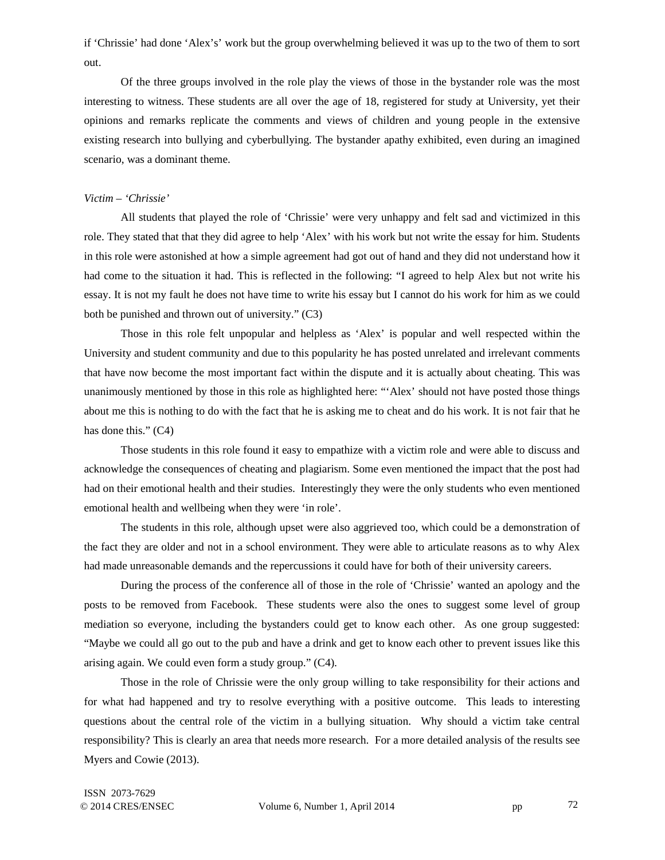if 'Chrissie' had done 'Alex's' work but the group overwhelming believed it was up to the two of them to sort out.

Of the three groups involved in the role play the views of those in the bystander role was the most interesting to witness. These students are all over the age of 18, registered for study at University, yet their opinions and remarks replicate the comments and views of children and young people in the extensive existing research into bullying and cyberbullying. The bystander apathy exhibited, even during an imagined scenario, was a dominant theme.

## *Victim – 'Chrissie'*

All students that played the role of 'Chrissie' were very unhappy and felt sad and victimized in this role. They stated that that they did agree to help 'Alex' with his work but not write the essay for him. Students in this role were astonished at how a simple agreement had got out of hand and they did not understand how it had come to the situation it had. This is reflected in the following: "I agreed to help Alex but not write his essay. It is not my fault he does not have time to write his essay but I cannot do his work for him as we could both be punished and thrown out of university." (C3)

Those in this role felt unpopular and helpless as 'Alex' is popular and well respected within the University and student community and due to this popularity he has posted unrelated and irrelevant comments that have now become the most important fact within the dispute and it is actually about cheating. This was unanimously mentioned by those in this role as highlighted here: "'Alex' should not have posted those things about me this is nothing to do with the fact that he is asking me to cheat and do his work. It is not fair that he has done this." (C4)

Those students in this role found it easy to empathize with a victim role and were able to discuss and acknowledge the consequences of cheating and plagiarism. Some even mentioned the impact that the post had had on their emotional health and their studies. Interestingly they were the only students who even mentioned emotional health and wellbeing when they were 'in role'.

The students in this role, although upset were also aggrieved too, which could be a demonstration of the fact they are older and not in a school environment. They were able to articulate reasons as to why Alex had made unreasonable demands and the repercussions it could have for both of their university careers.

During the process of the conference all of those in the role of 'Chrissie' wanted an apology and the posts to be removed from Facebook. These students were also the ones to suggest some level of group mediation so everyone, including the bystanders could get to know each other. As one group suggested: "Maybe we could all go out to the pub and have a drink and get to know each other to prevent issues like this arising again. We could even form a study group." (C4).

Those in the role of Chrissie were the only group willing to take responsibility for their actions and for what had happened and try to resolve everything with a positive outcome. This leads to interesting questions about the central role of the victim in a bullying situation. Why should a victim take central responsibility? This is clearly an area that needs more research. For a more detailed analysis of the results see Myers and Cowie (2013).

ISSN 2073-7629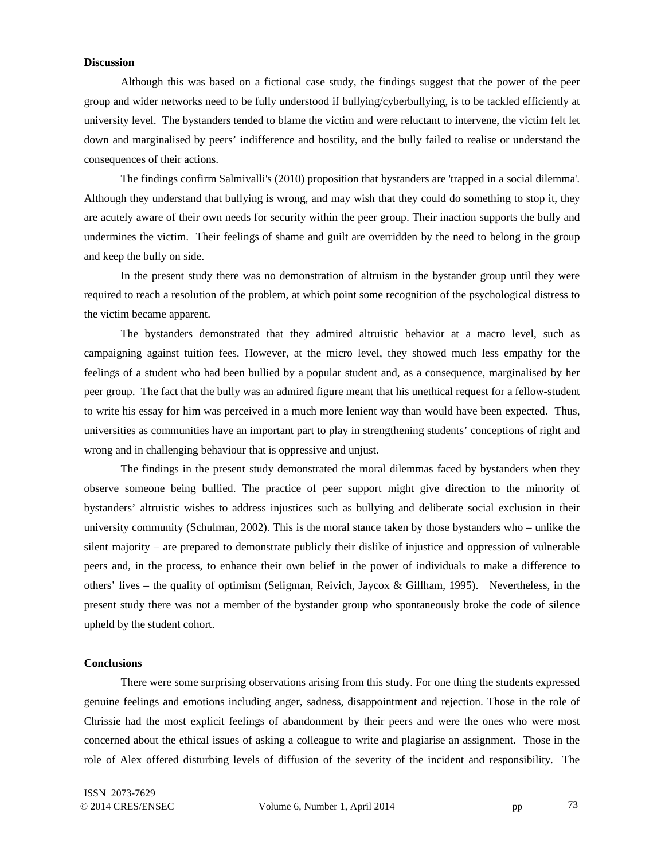#### **Discussion**

Although this was based on a fictional case study, the findings suggest that the power of the peer group and wider networks need to be fully understood if bullying/cyberbullying, is to be tackled efficiently at university level. The bystanders tended to blame the victim and were reluctant to intervene, the victim felt let down and marginalised by peers' indifference and hostility, and the bully failed to realise or understand the consequences of their actions.

The findings confirm Salmivalli's (2010) proposition that bystanders are 'trapped in a social dilemma'. Although they understand that bullying is wrong, and may wish that they could do something to stop it, they are acutely aware of their own needs for security within the peer group. Their inaction supports the bully and undermines the victim. Their feelings of shame and guilt are overridden by the need to belong in the group and keep the bully on side.

In the present study there was no demonstration of altruism in the bystander group until they were required to reach a resolution of the problem, at which point some recognition of the psychological distress to the victim became apparent.

The bystanders demonstrated that they admired altruistic behavior at a macro level, such as campaigning against tuition fees. However, at the micro level, they showed much less empathy for the feelings of a student who had been bullied by a popular student and, as a consequence, marginalised by her peer group. The fact that the bully was an admired figure meant that his unethical request for a fellow-student to write his essay for him was perceived in a much more lenient way than would have been expected. Thus, universities as communities have an important part to play in strengthening students' conceptions of right and wrong and in challenging behaviour that is oppressive and unjust.

The findings in the present study demonstrated the moral dilemmas faced by bystanders when they observe someone being bullied. The practice of peer support might give direction to the minority of bystanders' altruistic wishes to address injustices such as bullying and deliberate social exclusion in their university community (Schulman, 2002). This is the moral stance taken by those bystanders who – unlike the silent majority – are prepared to demonstrate publicly their dislike of injustice and oppression of vulnerable peers and, in the process, to enhance their own belief in the power of individuals to make a difference to others' lives – the quality of optimism (Seligman, Reivich, Jaycox & Gillham, 1995). Nevertheless, in the present study there was not a member of the bystander group who spontaneously broke the code of silence upheld by the student cohort.

#### **Conclusions**

There were some surprising observations arising from this study. For one thing the students expressed genuine feelings and emotions including anger, sadness, disappointment and rejection. Those in the role of Chrissie had the most explicit feelings of abandonment by their peers and were the ones who were most concerned about the ethical issues of asking a colleague to write and plagiarise an assignment. Those in the role of Alex offered disturbing levels of diffusion of the severity of the incident and responsibility. The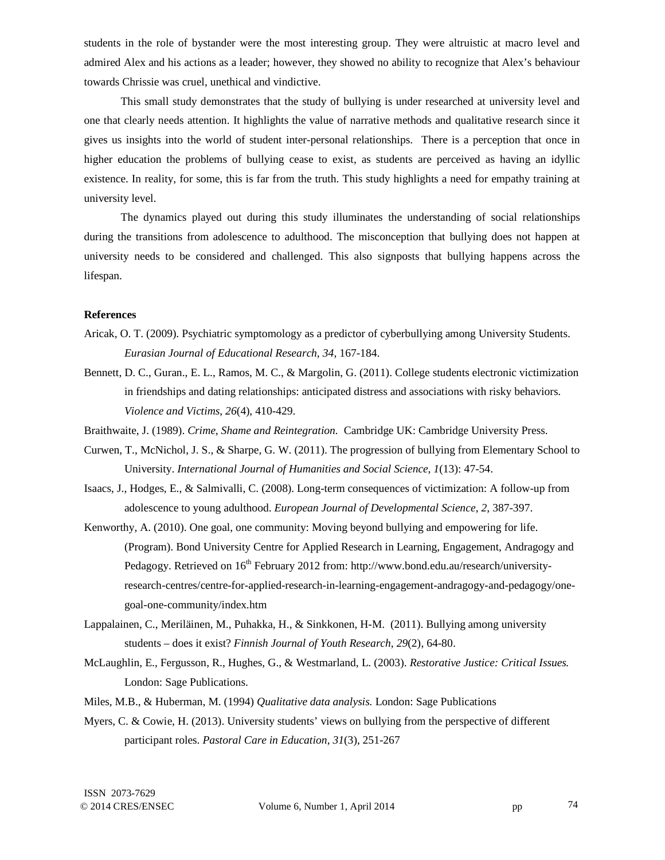students in the role of bystander were the most interesting group. They were altruistic at macro level and admired Alex and his actions as a leader; however, they showed no ability to recognize that Alex's behaviour towards Chrissie was cruel, unethical and vindictive.

This small study demonstrates that the study of bullying is under researched at university level and one that clearly needs attention. It highlights the value of narrative methods and qualitative research since it gives us insights into the world of student inter-personal relationships. There is a perception that once in higher education the problems of bullying cease to exist, as students are perceived as having an idyllic existence. In reality, for some, this is far from the truth. This study highlights a need for empathy training at university level.

The dynamics played out during this study illuminates the understanding of social relationships during the transitions from adolescence to adulthood. The misconception that bullying does not happen at university needs to be considered and challenged. This also signposts that bullying happens across the lifespan.

#### **References**

- Aricak, O. T. (2009). Psychiatric symptomology as a predictor of cyberbullying among University Students. *Eurasian Journal of Educational Research*, *34*, 167-184.
- Bennett, D. C., Guran., E. L., Ramos, M. C., & Margolin, G. (2011). College students electronic victimization in friendships and dating relationships: anticipated distress and associations with risky behaviors. *Violence and Victims*, *26*(4), 410-429.
- Braithwaite, J. (1989). *Crime, Shame and Reintegration.* Cambridge UK: Cambridge University Press.
- Curwen, T., McNichol, J. S., & Sharpe, G. W. (2011). The progression of bullying from Elementary School to University. *International Journal of Humanities and Social Science*, *1*(13): 47-54.
- Isaacs, J., Hodges, E., & Salmivalli, C. (2008). Long-term consequences of victimization: A follow-up from adolescence to young adulthood. *European Journal of Developmental Science*, *2*, 387-397.
- Kenworthy, A. (2010). One goal, one community: Moving beyond bullying and empowering for life. (Program). Bond University Centre for Applied Research in Learning, Engagement, Andragogy and Pedagogy. Retrieved on 16<sup>th</sup> February 2012 from: http://www.bond.edu.au/research/universityresearch-centres/centre-for-applied-research-in-learning-engagement-andragogy-and-pedagogy/onegoal-one-community/index.htm
- Lappalainen, C., Meriläinen, M., Puhakka, H., & Sinkkonen, H-M. (2011). Bullying among university students – does it exist? *Finnish Journal of Youth Research*, *29*(2), 64-80.
- McLaughlin, E., Fergusson, R., Hughes, G., & Westmarland, L. (2003). *Restorative Justice: Critical Issues.* London: Sage Publications.
- Miles, M.B., & Huberman, M. (1994) *Qualitative data analysis.* London: Sage Publications
- Myers, C. & Cowie, H. (2013). University students' views on bullying from the perspective of different participant roles. *Pastoral Care in Education*, *31*(3), 251-267